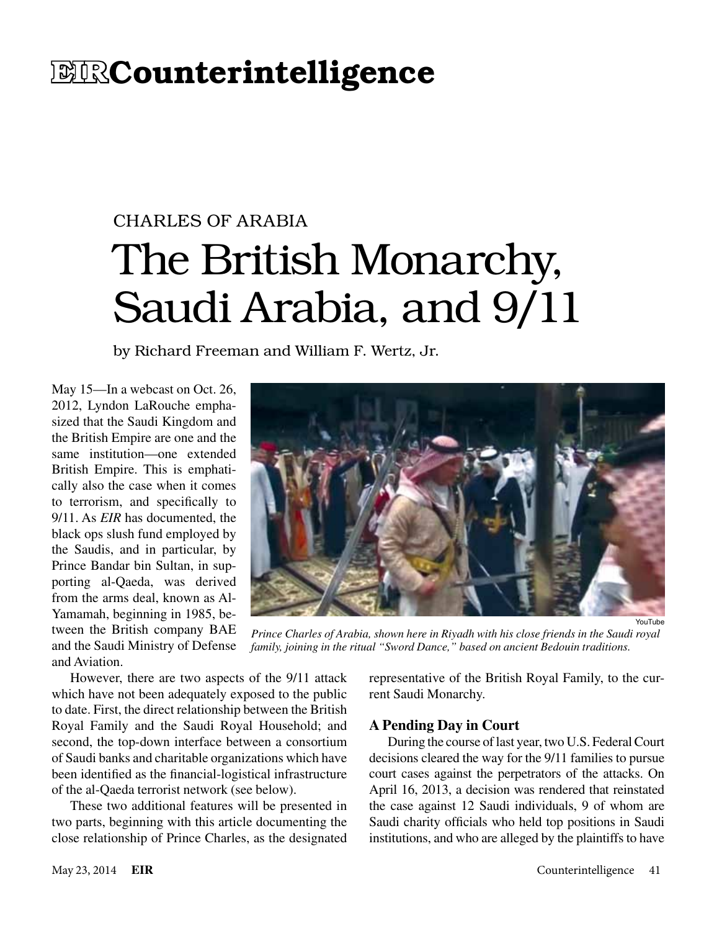## **EIRCounterintelligence**

# CHARLES OF ARABIA The British Monarchy, Saudi Arabia, and 9/11

by Richard Freeman and William F. Wertz, Jr.

May 15—In a webcast on Oct. 26, 2012, Lyndon LaRouche emphasized that the Saudi Kingdom and the British Empire are one and the same institution—one extended British Empire. This is emphatically also the case when it comes to terrorism, and specifically to 9/11. As *EIR* has documented, the black ops slush fund employed by the Saudis, and in particular, by Prince Bandar bin Sultan, in supporting al-Qaeda, was derived from the arms deal, known as Al-Yamamah, beginning in 1985, between the British company BAE and the Saudi Ministry of Defense and Aviation.



*Prince Charles of Arabia, shown here in Riyadh with his close friends in the Saudi royal family, joining in the ritual "Sword Dance," based on ancient Bedouin traditions.*

However, there are two aspects of the 9/11 attack which have not been adequately exposed to the public to date. First, the direct relationship between the British Royal Family and the Saudi Royal Household; and second, the top-down interface between a consortium of Saudi banks and charitable organizations which have been identified as the financial-logistical infrastructure of the al-Qaeda terrorist network (see below).

These two additional features will be presented in two parts, beginning with this article documenting the close relationship of Prince Charles, as the designated representative of the British Royal Family, to the current Saudi Monarchy.

#### **A Pending Day in Court**

During the course of last year, two U.S. Federal Court decisions cleared the way for the 9/11 families to pursue court cases against the perpetrators of the attacks. On April 16, 2013, a decision was rendered that reinstated the case against 12 Saudi individuals, 9 of whom are Saudi charity officials who held top positions in Saudi institutions, and who are alleged by the plaintiffs to have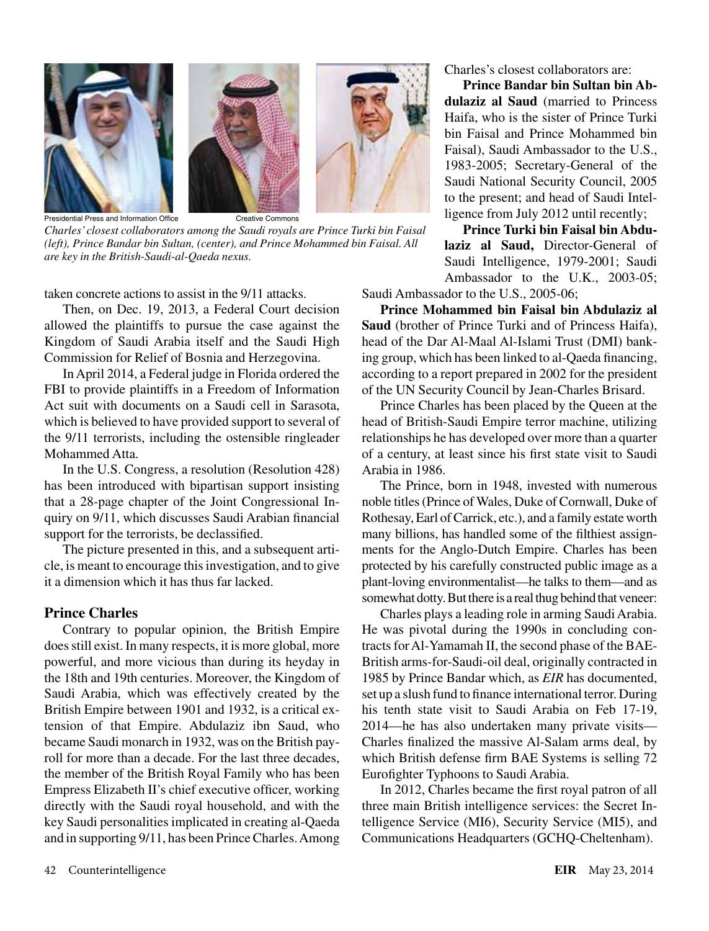

*Charles' closest collaborators among the Saudi royals are Prince Turki bin Faisal (left), Prince Bandar bin Sultan, (center), and Prince Mohammed bin Faisal. All are key in the British-Saudi-al-Qaeda nexus.*

taken concrete actions to assist in the 9/11 attacks.

Then, on Dec. 19, 2013, a Federal Court decision allowed the plaintiffs to pursue the case against the Kingdom of Saudi Arabia itself and the Saudi High Commission for Relief of Bosnia and Herzegovina.

In April 2014, a Federal judge in Florida ordered the FBI to provide plaintiffs in a Freedom of Information Act suit with documents on a Saudi cell in Sarasota, which is believed to have provided support to several of the 9/11 terrorists, including the ostensible ringleader Mohammed Atta.

In the U.S. Congress, a resolution (Resolution 428) has been introduced with bipartisan support insisting that a 28-page chapter of the Joint Congressional Inquiry on 9/11, which discusses Saudi Arabian financial support for the terrorists, be declassified.

The picture presented in this, and a subsequent article, is meant to encourage this investigation, and to give it a dimension which it has thus far lacked.

#### **Prince Charles**

Contrary to popular opinion, the British Empire does still exist. In many respects, it is more global, more powerful, and more vicious than during its heyday in the 18th and 19th centuries. Moreover, the Kingdom of Saudi Arabia, which was effectively created by the British Empire between 1901 and 1932, is a critical extension of that Empire. Abdulaziz ibn Saud, who became Saudi monarch in 1932, was on the British payroll for more than a decade. For the last three decades, the member of the British Royal Family who has been Empress Elizabeth II's chief executive officer, working directly with the Saudi royal household, and with the key Saudi personalities implicated in creating al-Qaeda and in supporting 9/11, has been Prince Charles. Among Charles's closest collaborators are:

**Prince Bandar bin Sultan bin Abdulaziz al Saud** (married to Princess Haifa, who is the sister of Prince Turki bin Faisal and Prince Mohammed bin Faisal), Saudi Ambassador to the U.S., 1983-2005; Secretary-General of the Saudi National Security Council, 2005 to the present; and head of Saudi Intelligence from July 2012 until recently;

**Prince Turki bin Faisal bin Abdulaziz al Saud,** Director-General of Saudi Intelligence, 1979-2001; Saudi Ambassador to the U.K., 2003-05;

Saudi Ambassador to the U.S., 2005-06;

**Prince Mohammed bin Faisal bin Abdulaziz al Saud** (brother of Prince Turki and of Princess Haifa), head of the Dar Al-Maal Al-Islami Trust (DMI) banking group, which has been linked to al-Qaeda financing, according to a report prepared in 2002 for the president of the UN Security Council by Jean-Charles Brisard.

Prince Charles has been placed by the Queen at the head of British-Saudi Empire terror machine, utilizing relationships he has developed over more than a quarter of a century, at least since his first state visit to Saudi Arabia in 1986.

The Prince, born in 1948, invested with numerous noble titles (Prince of Wales, Duke of Cornwall, Duke of Rothesay, Earl of Carrick, etc.), and a family estate worth many billions, has handled some of the filthiest assignments for the Anglo-Dutch Empire. Charles has been protected by his carefully constructed public image as a plant-loving environmentalist—he talks to them—and as somewhat dotty. But there is a real thug behind that veneer:

Charles plays a leading role in arming Saudi Arabia. He was pivotal during the 1990s in concluding contracts for Al-Yamamah II, the second phase of the BAE-British arms-for-Saudi-oil deal, originally contracted in 1985 by Prince Bandar which, as *EIR* has documented, set up a slush fund to finance international terror. During his tenth state visit to Saudi Arabia on Feb 17-19, 2014—he has also undertaken many private visits— Charles finalized the massive Al-Salam arms deal, by which British defense firm BAE Systems is selling 72 Eurofighter Typhoons to Saudi Arabia.

In 2012, Charles became the first royal patron of all three main British intelligence services: the Secret Intelligence Service (MI6), Security Service (MI5), and Communications Headquarters (GCHQ-Cheltenham).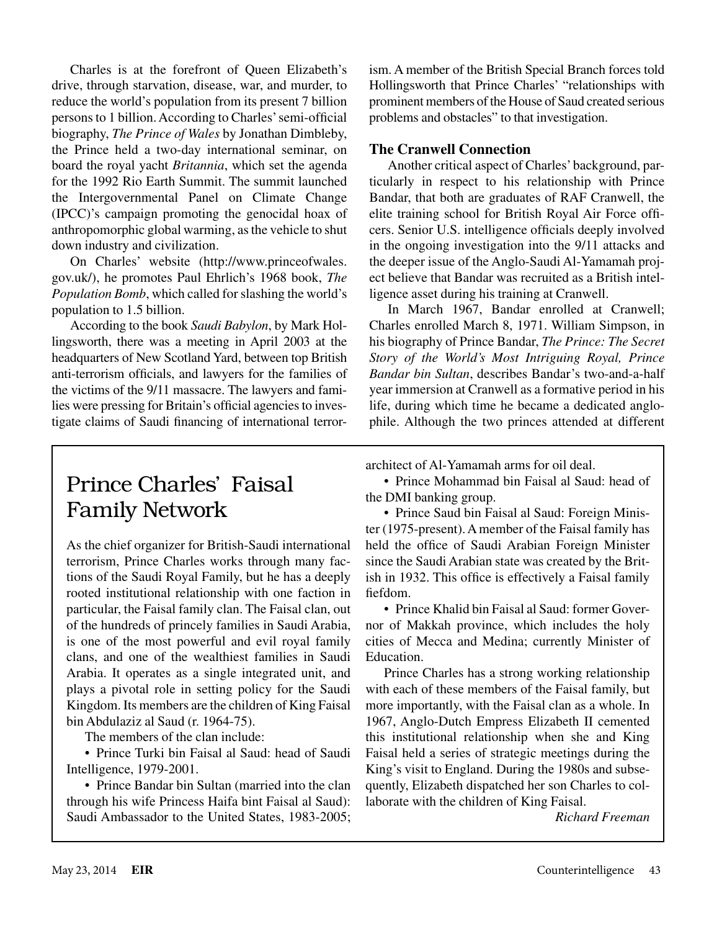Charles is at the forefront of Queen Elizabeth's drive, through starvation, disease, war, and murder, to reduce the world's population from its present 7 billion persons to 1 billion. According to Charles' semi-official biography, *The Prince of Wales* by Jonathan Dimbleby, the Prince held a two-day international seminar, on board the royal yacht *Britannia*, which set the agenda for the 1992 Rio Earth Summit. The summit launched the Intergovernmental Panel on Climate Change (IPCC)'s campaign promoting the genocidal hoax of anthropomorphic global warming, as the vehicle to shut down industry and civilization.

On Charles' website (http://www.princeofwales. gov.uk/), he promotes Paul Ehrlich's 1968 book, *The Population Bomb*, which called for slashing the world's population to 1.5 billion.

According to the book *Saudi Babylon*, by Mark Hollingsworth, there was a meeting in April 2003 at the headquarters of New Scotland Yard, between top British anti-terrorism officials, and lawyers for the families of the victims of the 9/11 massacre. The lawyers and families were pressing for Britain's official agencies to investigate claims of Saudi financing of international terrorism. A member of the British Special Branch forces told Hollingsworth that Prince Charles' "relationships with prominent members of the House of Saud created serious problems and obstacles" to that investigation.

#### **The Cranwell Connection**

Another critical aspect of Charles' background, particularly in respect to his relationship with Prince Bandar, that both are graduates of RAF Cranwell, the elite training school for British Royal Air Force officers. Senior U.S. intelligence officials deeply involved in the ongoing investigation into the 9/11 attacks and the deeper issue of the Anglo-Saudi Al-Yamamah project believe that Bandar was recruited as a British intelligence asset during his training at Cranwell.

In March 1967, Bandar enrolled at Cranwell; Charles enrolled March 8, 1971. William Simpson, in his biography of Prince Bandar, *The Prince: The Secret Story of the World's Most Intriguing Royal, Prince Bandar bin Sultan*, describes Bandar's two-and-a-half year immersion at Cranwell as a formative period in his life, during which time he became a dedicated anglophile. Although the two princes attended at different

Prince Charles' Faisal Family Network

As the chief organizer for British-Saudi international terrorism, Prince Charles works through many factions of the Saudi Royal Family, but he has a deeply rooted institutional relationship with one faction in particular, the Faisal family clan. The Faisal clan, out of the hundreds of princely families in Saudi Arabia, is one of the most powerful and evil royal family clans, and one of the wealthiest families in Saudi Arabia. It operates as a single integrated unit, and plays a pivotal role in setting policy for the Saudi Kingdom. Its members are the children of King Faisal bin Abdulaziz al Saud (r. 1964-75).

The members of the clan include:

• Prince Turki bin Faisal al Saud: head of Saudi Intelligence, 1979-2001.

• Prince Bandar bin Sultan (married into the clan through his wife Princess Haifa bint Faisal al Saud): Saudi Ambassador to the United States, 1983-2005; architect of Al-Yamamah arms for oil deal.

• Prince Mohammad bin Faisal al Saud: head of the DMI banking group.

• Prince Saud bin Faisal al Saud: Foreign Minister (1975-present). A member of the Faisal family has held the office of Saudi Arabian Foreign Minister since the Saudi Arabian state was created by the British in 1932. This office is effectively a Faisal family fiefdom.

• Prince Khalid bin Faisal al Saud: former Governor of Makkah province, which includes the holy cities of Mecca and Medina; currently Minister of Education.

Prince Charles has a strong working relationship with each of these members of the Faisal family, but more importantly, with the Faisal clan as a whole. In 1967, Anglo-Dutch Empress Elizabeth II cemented this institutional relationship when she and King Faisal held a series of strategic meetings during the King's visit to England. During the 1980s and subsequently, Elizabeth dispatched her son Charles to collaborate with the children of King Faisal.

*Richard Freeman*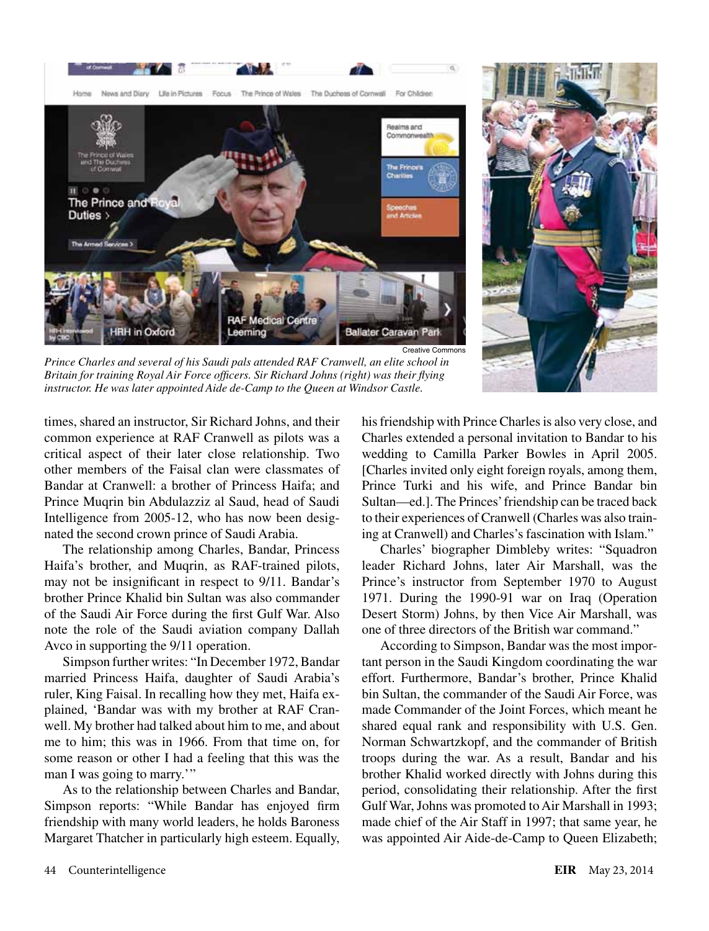



*Prince Charles and several of his Saudi pals attended RAF Cranwell, an elite school in Britain for training Royal Air Force officers. Sir Richard Johns (right) was their flying instructor. He was later appointed Aide de-Camp to the Queen at Windsor Castle.*

times, shared an instructor, Sir Richard Johns, and their common experience at RAF Cranwell as pilots was a critical aspect of their later close relationship. Two other members of the Faisal clan were classmates of Bandar at Cranwell: a brother of Princess Haifa; and Prince Muqrin bin Abdulazziz al Saud, head of Saudi Intelligence from 2005-12, who has now been designated the second crown prince of Saudi Arabia.

The relationship among Charles, Bandar, Princess Haifa's brother, and Muqrin, as RAF-trained pilots, may not be insignificant in respect to 9/11. Bandar's brother Prince Khalid bin Sultan was also commander of the Saudi Air Force during the first Gulf War. Also note the role of the Saudi aviation company Dallah Avco in supporting the 9/11 operation.

Simpson further writes: "In December 1972, Bandar married Princess Haifa, daughter of Saudi Arabia's ruler, King Faisal. In recalling how they met, Haifa explained, 'Bandar was with my brother at RAF Cranwell. My brother had talked about him to me, and about me to him; this was in 1966. From that time on, for some reason or other I had a feeling that this was the man I was going to marry.""

As to the relationship between Charles and Bandar, Simpson reports: "While Bandar has enjoyed firm friendship with many world leaders, he holds Baroness Margaret Thatcher in particularly high esteem. Equally, his friendship with Prince Charles is also very close, and Charles extended a personal invitation to Bandar to his wedding to Camilla Parker Bowles in April 2005. [Charles invited only eight foreign royals, among them, Prince Turki and his wife, and Prince Bandar bin Sultan—ed.]. The Princes' friendship can be traced back to their experiences of Cranwell (Charles was also training at Cranwell) and Charles's fascination with Islam."

Charles' biographer Dimbleby writes: "Squadron leader Richard Johns, later Air Marshall, was the Prince's instructor from September 1970 to August 1971. During the 1990-91 war on Iraq (Operation Desert Storm) Johns, by then Vice Air Marshall, was one of three directors of the British war command."

According to Simpson, Bandar was the most important person in the Saudi Kingdom coordinating the war effort. Furthermore, Bandar's brother, Prince Khalid bin Sultan, the commander of the Saudi Air Force, was made Commander of the Joint Forces, which meant he shared equal rank and responsibility with U.S. Gen. Norman Schwartzkopf, and the commander of British troops during the war. As a result, Bandar and his brother Khalid worked directly with Johns during this period, consolidating their relationship. After the first Gulf War, Johns was promoted to Air Marshall in 1993; made chief of the Air Staff in 1997; that same year, he was appointed Air Aide-de-Camp to Queen Elizabeth;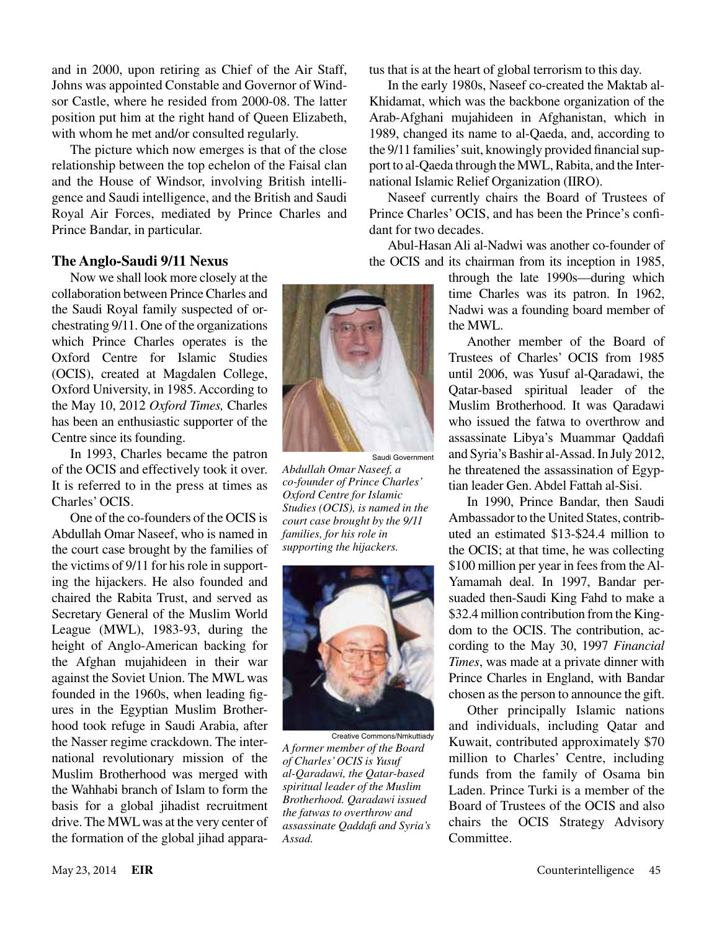and in 2000, upon retiring as Chief of the Air Staff, Johns was appointed Constable and Governor of Windsor Castle, where he resided from 2000-08. The latter position put him at the right hand of Queen Elizabeth, with whom he met and/or consulted regularly.

The picture which now emerges is that of the close relationship between the top echelon of the Faisal clan and the House of Windsor, involving British intelligence and Saudi intelligence, and the British and Saudi Royal Air Forces, mediated by Prince Charles and Prince Bandar, in particular.

#### **The Anglo-Saudi 9/11 Nexus**

Now we shall look more closely at the collaboration between Prince Charles and the Saudi Royal family suspected of orchestrating 9/11. One of the organizations which Prince Charles operates is the Oxford Centre for Islamic Studies (OCIS), created at Magdalen College, Oxford University, in 1985. According to the May 10, 2012 *Oxford Times,* Charles has been an enthusiastic supporter of the Centre since its founding.

In 1993, Charles became the patron of the OCIS and effectively took it over. It is referred to in the press at times as Charles' OCIS.

One of the co-founders of the OCIS is Abdullah Omar Naseef, who is named in the court case brought by the families of the victims of 9/11 for his role in supporting the hijackers. He also founded and chaired the Rabita Trust, and served as Secretary General of the Muslim World League (MWL), 1983-93, during the height of Anglo-American backing for the Afghan mujahideen in their war against the Soviet Union. The MWL was founded in the 1960s, when leading figures in the Egyptian Muslim Brotherhood took refuge in Saudi Arabia, after the Nasser regime crackdown. The international revolutionary mission of the Muslim Brotherhood was merged with the Wahhabi branch of Islam to form the basis for a global jihadist recruitment drive. The MWL was at the very center of the formation of the global jihad appara-



Saudi Government

*Abdullah Omar Naseef, a co-founder of Prince Charles' Oxford Centre for Islamic Studies (OCIS), is named in the court case brought by the 9/11 families, for his role in supporting the hijackers.*



Creative Commons/Nmkuttiady *A former member of the Board of Charles' OCIS is Yusuf al-Qaradawi, the Qatar-based spiritual leader of the Muslim Brotherhood. Qaradawi issued the fatwas to overthrow and assassinate Qaddafi and Syria's Assad.*

tus that is at the heart of global terrorism to this day.

In the early 1980s, Naseef co-created the Maktab al-Khidamat, which was the backbone organization of the Arab-Afghani mujahideen in Afghanistan, which in 1989, changed its name to al-Qaeda, and, according to the 9/11 families' suit, knowingly provided financial support to al-Qaeda through the MWL, Rabita, and the International Islamic Relief Organization (IIRO).

Naseef currently chairs the Board of Trustees of Prince Charles' OCIS, and has been the Prince's confidant for two decades.

Abul-Hasan Ali al-Nadwi was another co-founder of the OCIS and its chairman from its inception in 1985,

> through the late 1990s—during which time Charles was its patron. In 1962, Nadwi was a founding board member of the MWL.

> Another member of the Board of Trustees of Charles' OCIS from 1985 until 2006, was Yusuf al-Qaradawi, the Qatar-based spiritual leader of the Muslim Brotherhood. It was Qaradawi who issued the fatwa to overthrow and assassinate Libya's Muammar Qaddafi and Syria's Bashir al-Assad. In July 2012, he threatened the assassination of Egyptian leader Gen. Abdel Fattah al-Sisi.

> In 1990, Prince Bandar, then Saudi Ambassador to the United States, contributed an estimated \$13-\$24.4 million to the OCIS; at that time, he was collecting \$100 million per year in fees from the Al-Yamamah deal. In 1997, Bandar persuaded then-Saudi King Fahd to make a \$32.4 million contribution from the Kingdom to the OCIS. The contribution, according to the May 30, 1997 *Financial Times*, was made at a private dinner with Prince Charles in England, with Bandar chosen as the person to announce the gift.

> Other principally Islamic nations and individuals, including Qatar and Kuwait, contributed approximately \$70 million to Charles' Centre, including funds from the family of Osama bin Laden. Prince Turki is a member of the Board of Trustees of the OCIS and also chairs the OCIS Strategy Advisory Committee.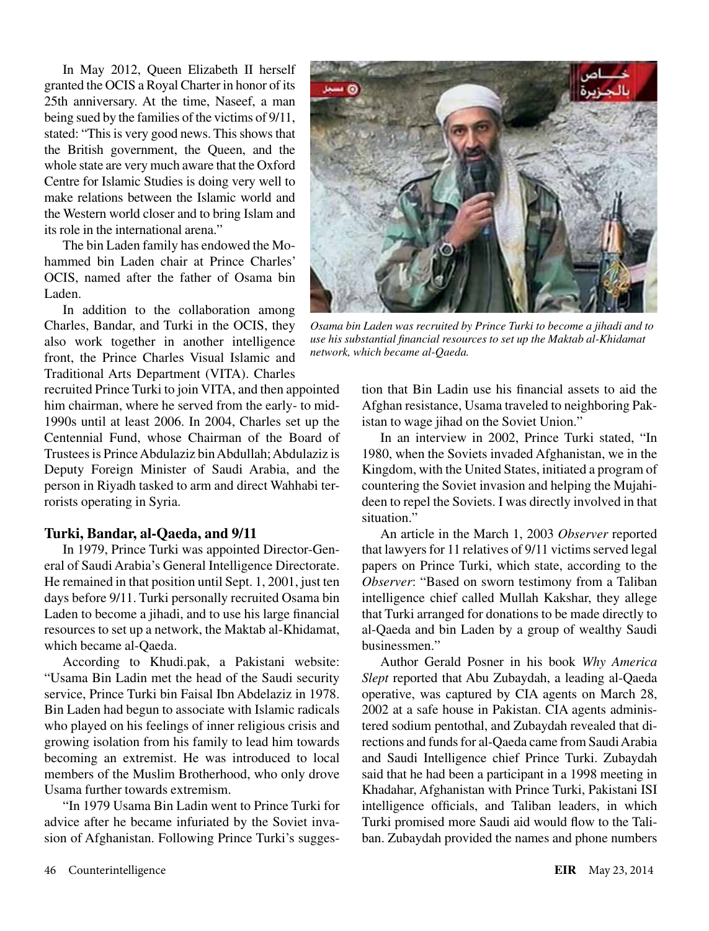In May 2012, Queen Elizabeth II herself granted the OCIS a Royal Charter in honor of its 25th anniversary. At the time, Naseef, a man being sued by the families of the victims of 9/11, stated: "This is very good news. This shows that the British government, the Queen, and the whole state are very much aware that the Oxford Centre for Islamic Studies is doing very well to make relations between the Islamic world and the Western world closer and to bring Islam and its role in the international arena."

The bin Laden family has endowed the Mohammed bin Laden chair at Prince Charles' OCIS, named after the father of Osama bin Laden.

In addition to the collaboration among Charles, Bandar, and Turki in the OCIS, they also work together in another intelligence front, the Prince Charles Visual Islamic and Traditional Arts Department (VITA). Charles

recruited Prince Turki to join VITA, and then appointed him chairman, where he served from the early- to mid-1990s until at least 2006. In 2004, Charles set up the Centennial Fund, whose Chairman of the Board of Trustees is Prince Abdulaziz bin Abdullah; Abdulaziz is Deputy Foreign Minister of Saudi Arabia, and the person in Riyadh tasked to arm and direct Wahhabi terrorists operating in Syria.

#### **Turki, Bandar, al-Qaeda, and 9/11**

In 1979, Prince Turki was appointed Director-General of Saudi Arabia's General Intelligence Directorate. He remained in that position until Sept. 1, 2001, just ten days before 9/11. Turki personally recruited Osama bin Laden to become a jihadi, and to use his large financial resources to set up a network, the Maktab al-Khidamat, which became al-Qaeda.

According to Khudi.pak, a Pakistani website: "Usama Bin Ladin met the head of the Saudi security service, Prince Turki bin Faisal Ibn Abdelaziz in 1978. Bin Laden had begun to associate with Islamic radicals who played on his feelings of inner religious crisis and growing isolation from his family to lead him towards becoming an extremist. He was introduced to local members of the Muslim Brotherhood, who only drove Usama further towards extremism.

"In 1979 Usama Bin Ladin went to Prince Turki for advice after he became infuriated by the Soviet invasion of Afghanistan. Following Prince Turki's sugges-



*Osama bin Laden was recruited by Prince Turki to become a jihadi and to use his substantial financial resources to set up the Maktab al-Khidamat network, which became al-Qaeda.*

tion that Bin Ladin use his financial assets to aid the Afghan resistance, Usama traveled to neighboring Pakistan to wage jihad on the Soviet Union."

In an interview in 2002, Prince Turki stated, "In 1980, when the Soviets invaded Afghanistan, we in the Kingdom, with the United States, initiated a program of countering the Soviet invasion and helping the Mujahideen to repel the Soviets. I was directly involved in that situation."

An article in the March 1, 2003 *Observer* reported that lawyers for 11 relatives of 9/11 victims served legal papers on Prince Turki, which state, according to the *Observer*: "Based on sworn testimony from a Taliban intelligence chief called Mullah Kakshar, they allege that Turki arranged for donations to be made directly to al-Qaeda and bin Laden by a group of wealthy Saudi businessmen."

Author Gerald Posner in his book *Why America Slept* reported that Abu Zubaydah, a leading al-Qaeda operative, was captured by CIA agents on March 28, 2002 at a safe house in Pakistan. CIA agents administered sodium pentothal, and Zubaydah revealed that directions and funds for al-Qaeda came from Saudi Arabia and Saudi Intelligence chief Prince Turki. Zubaydah said that he had been a participant in a 1998 meeting in Khadahar, Afghanistan with Prince Turki, Pakistani ISI intelligence officials, and Taliban leaders, in which Turki promised more Saudi aid would flow to the Taliban. Zubaydah provided the names and phone numbers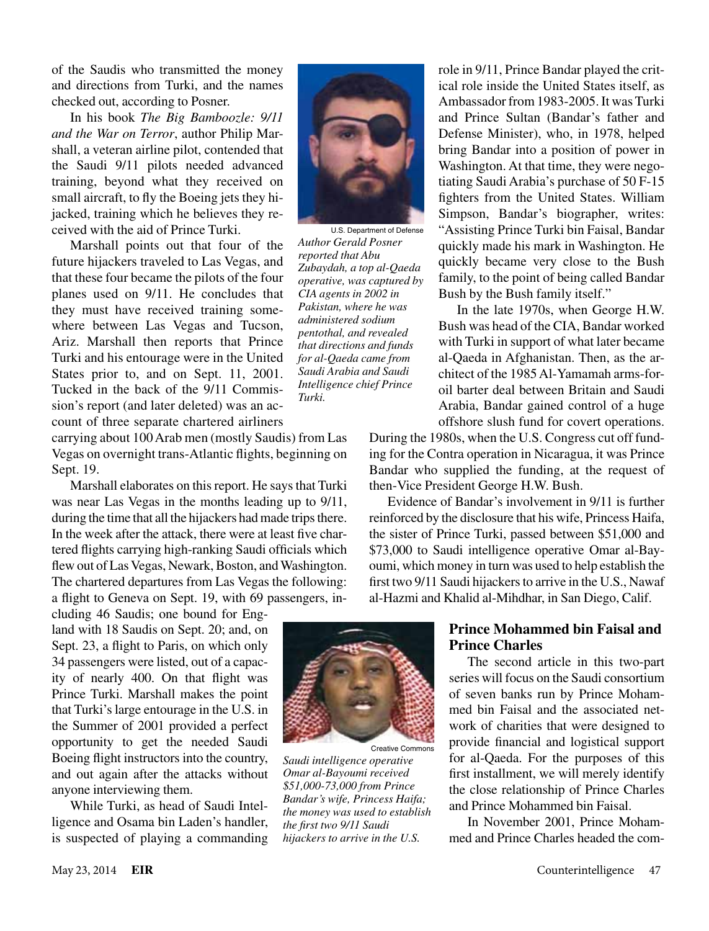of the Saudis who transmitted the money and directions from Turki, and the names checked out, according to Posner.

In his book *The Big Bamboozle: 9/11 and the War on Terror*, author Philip Marshall, a veteran airline pilot, contended that the Saudi 9/11 pilots needed advanced training, beyond what they received on small aircraft, to fly the Boeing jets they hijacked, training which he believes they received with the aid of Prince Turki.

Marshall points out that four of the future hijackers traveled to Las Vegas, and that these four became the pilots of the four planes used on 9/11. He concludes that they must have received training somewhere between Las Vegas and Tucson, Ariz. Marshall then reports that Prince Turki and his entourage were in the United States prior to, and on Sept. 11, 2001. Tucked in the back of the 9/11 Commission's report (and later deleted) was an account of three separate chartered airliners

U.S. Department of Defense *Author Gerald Posner reported that Abu Zubaydah, a top al-Qaeda operative, was captured by CIA agents in 2002 in Pakistan, where he was administered sodium pentothal, and revealed that directions and funds for al-Qaeda came from Saudi Arabia and Saudi Intelligence chief Prince Turki.*

carrying about 100 Arab men (mostly Saudis) from Las Vegas on overnight trans-Atlantic flights, beginning on Sept. 19.

Marshall elaborates on this report. He says that Turki was near Las Vegas in the months leading up to 9/11, during the time that all the hijackers had made trips there. In the week after the attack, there were at least five chartered flights carrying high-ranking Saudi officials which flew out of Las Vegas, Newark, Boston, and Washington. The chartered departures from Las Vegas the following: a flight to Geneva on Sept. 19, with 69 passengers, in-

cluding 46 Saudis; one bound for England with 18 Saudis on Sept. 20; and, on Sept. 23, a flight to Paris, on which only 34 passengers were listed, out of a capacity of nearly 400. On that flight was Prince Turki. Marshall makes the point that Turki's large entourage in the U.S. in the Summer of 2001 provided a perfect opportunity to get the needed Saudi Boeing flight instructors into the country, and out again after the attacks without anyone interviewing them.

While Turki, as head of Saudi Intelligence and Osama bin Laden's handler, is suspected of playing a commanding



Creative Commons *Saudi intelligence operative Omar al-Bayoumi received \$51,000-73,000 from Prince Bandar's wife, Princess Haifa; the money was used to establish the first two 9/11 Saudi hijackers to arrive in the U.S.*

role in 9/11, Prince Bandar played the critical role inside the United States itself, as Ambassador from 1983-2005. It was Turki and Prince Sultan (Bandar's father and Defense Minister), who, in 1978, helped bring Bandar into a position of power in Washington. At that time, they were negotiating Saudi Arabia's purchase of 50 F-15 fighters from the United States. William Simpson, Bandar's biographer, writes: "Assisting Prince Turki bin Faisal, Bandar quickly made his mark in Washington. He quickly became very close to the Bush family, to the point of being called Bandar Bush by the Bush family itself."

In the late 1970s, when George H.W. Bush was head of the CIA, Bandar worked with Turki in support of what later became al-Qaeda in Afghanistan. Then, as the architect of the 1985 Al-Yamamah arms-foroil barter deal between Britain and Saudi Arabia, Bandar gained control of a huge offshore slush fund for covert operations.

During the 1980s, when the U.S. Congress cut off funding for the Contra operation in Nicaragua, it was Prince Bandar who supplied the funding, at the request of then-Vice President George H.W. Bush.

Evidence of Bandar's involvement in 9/11 is further reinforced by the disclosure that his wife, Princess Haifa, the sister of Prince Turki, passed between \$51,000 and \$73,000 to Saudi intelligence operative Omar al-Bayoumi, which money in turn was used to help establish the first two 9/11 Saudi hijackers to arrive in the U.S., Nawaf al-Hazmi and Khalid al-Mihdhar, in San Diego, Calif.

#### **Prince Mohammed bin Faisal and Prince Charles**

The second article in this two-part series will focus on the Saudi consortium of seven banks run by Prince Mohammed bin Faisal and the associated network of charities that were designed to provide financial and logistical support for al-Qaeda. For the purposes of this first installment, we will merely identify the close relationship of Prince Charles and Prince Mohammed bin Faisal.

In November 2001, Prince Mohammed and Prince Charles headed the com